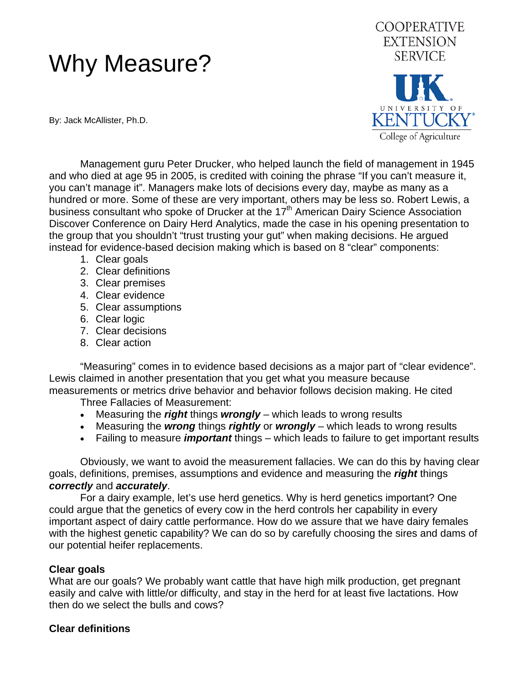# Why Measure?

By: Jack McAllister, Ph.D.

**COOPERATIVE EXTENSION SERVICE** 



 Management guru Peter Drucker, who helped launch the field of management in 1945 and who died at age 95 in 2005, is credited with coining the phrase "If you can't measure it, you can't manage it". Managers make lots of decisions every day, maybe as many as a hundred or more. Some of these are very important, others may be less so. Robert Lewis, a business consultant who spoke of Drucker at the 17<sup>th</sup> American Dairy Science Association Discover Conference on Dairy Herd Analytics, made the case in his opening presentation to the group that you shouldn't "trust trusting your gut" when making decisions. He argued instead for evidence-based decision making which is based on 8 "clear" components:

- 1. Clear goals
- 2. Clear definitions
- 3. Clear premises
- 4. Clear evidence
- 5. Clear assumptions
- 6. Clear logic
- 7. Clear decisions
- 8. Clear action

 "Measuring" comes in to evidence based decisions as a major part of "clear evidence". Lewis claimed in another presentation that you get what you measure because measurements or metrics drive behavior and behavior follows decision making. He cited

Three Fallacies of Measurement:

- Measuring the *right* things *wrongly* which leads to wrong results
- Measuring the *wrong* things *rightly* or *wrongly* which leads to wrong results
- Failing to measure *important* things which leads to failure to get important results

 Obviously, we want to avoid the measurement fallacies. We can do this by having clear goals, definitions, premises, assumptions and evidence and measuring the *right* things *correctly* and *accurately*.

 For a dairy example, let's use herd genetics. Why is herd genetics important? One could argue that the genetics of every cow in the herd controls her capability in every important aspect of dairy cattle performance. How do we assure that we have dairy females with the highest genetic capability? We can do so by carefully choosing the sires and dams of our potential heifer replacements.

# **Clear goals**

What are our goals? We probably want cattle that have high milk production, get pregnant easily and calve with little/or difficulty, and stay in the herd for at least five lactations. How then do we select the bulls and cows?

# **Clear definitions**